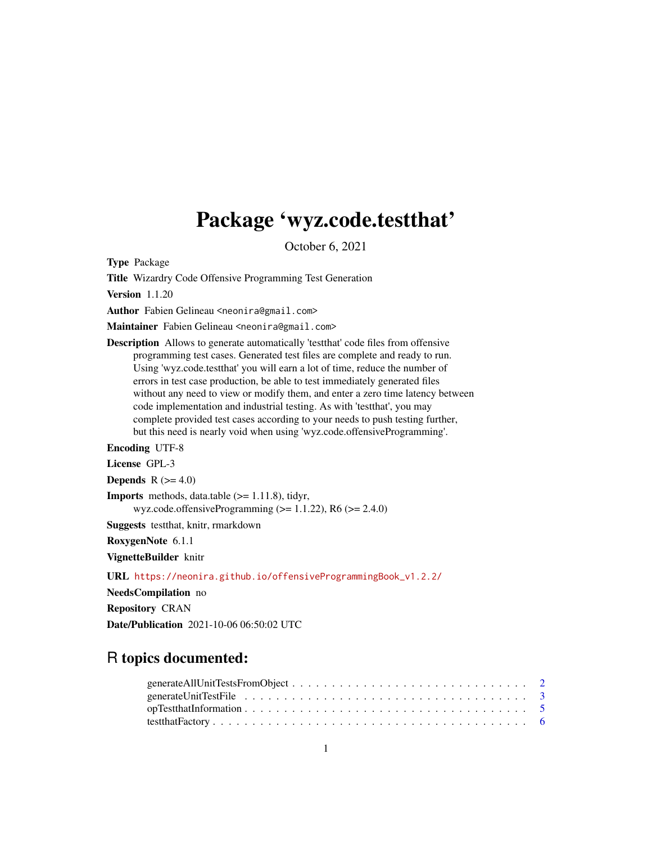## Package 'wyz.code.testthat'

October 6, 2021

<span id="page-0-0"></span>Type Package

Title Wizardry Code Offensive Programming Test Generation

Version 1.1.20

Author Fabien Gelineau <neonira@gmail.com>

Maintainer Fabien Gelineau <neonira@gmail.com>

Description Allows to generate automatically 'testthat' code files from offensive programming test cases. Generated test files are complete and ready to run. Using 'wyz.code.testthat' you will earn a lot of time, reduce the number of errors in test case production, be able to test immediately generated files without any need to view or modify them, and enter a zero time latency between code implementation and industrial testing. As with 'testthat', you may complete provided test cases according to your needs to push testing further, but this need is nearly void when using 'wyz.code.offensiveProgramming'.

Encoding UTF-8

License GPL-3

Depends  $R$  ( $>= 4.0$ )

**Imports** methods, data.table  $(>= 1.11.8)$ , tidyr, wyz.code.offensiveProgramming ( $> = 1.1.22$ ), R6 ( $> = 2.4.0$ )

Suggests testthat, knitr, rmarkdown

RoxygenNote 6.1.1

VignetteBuilder knitr

URL [https://neonira.github.io/offensiveProgrammingBook\\_v1.2.2/](https://neonira.github.io/offensiveProgrammingBook_v1.2.2/)

NeedsCompilation no

Repository CRAN

Date/Publication 2021-10-06 06:50:02 UTC

### R topics documented: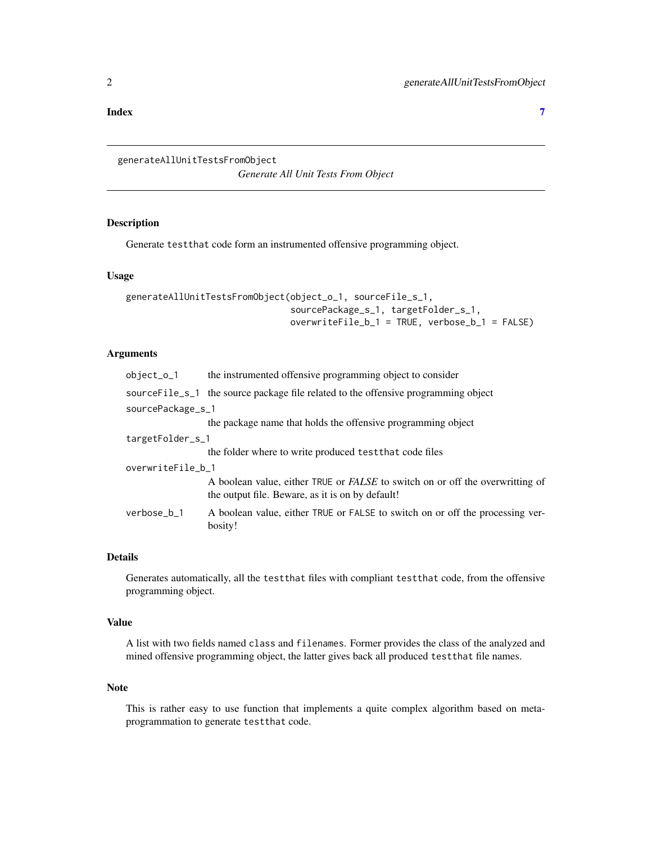<span id="page-1-0"></span>**Index** [7](#page-6-0) **7** 

generateAllUnitTestsFromObject

*Generate All Unit Tests From Object*

#### <span id="page-1-1"></span>Description

Generate testthat code form an instrumented offensive programming object.

#### Usage

```
generateAllUnitTestsFromObject(object_o_1, sourceFile_s_1,
                               sourcePackage_s_1, targetFolder_s_1,
                               overwriteFile_b_1 = TRUE, verbose_b_1 = FALSE)
```
#### Arguments

| object_o_1        | the instrumented offensive programming object to consider                                                                                |  |  |
|-------------------|------------------------------------------------------------------------------------------------------------------------------------------|--|--|
|                   | source File_s_1 the source package file related to the offensive programming object                                                      |  |  |
| sourcePackage_s_1 |                                                                                                                                          |  |  |
|                   | the package name that holds the offensive programming object                                                                             |  |  |
| targetFolder_s_1  |                                                                                                                                          |  |  |
|                   | the folder where to write produced test that code files                                                                                  |  |  |
| overwriteFile_b_1 |                                                                                                                                          |  |  |
|                   | A boolean value, either TRUE or <i>FALSE</i> to switch on or off the overwritting of<br>the output file. Beware, as it is on by default! |  |  |
| verbose b 1       | A boolean value, either TRUE or FALSE to switch on or off the processing ver-<br>bosity!                                                 |  |  |

#### Details

Generates automatically, all the testthat files with compliant testthat code, from the offensive programming object.

#### Value

A list with two fields named class and filenames. Former provides the class of the analyzed and mined offensive programming object, the latter gives back all produced testthat file names.

#### Note

This is rather easy to use function that implements a quite complex algorithm based on metaprogrammation to generate testthat code.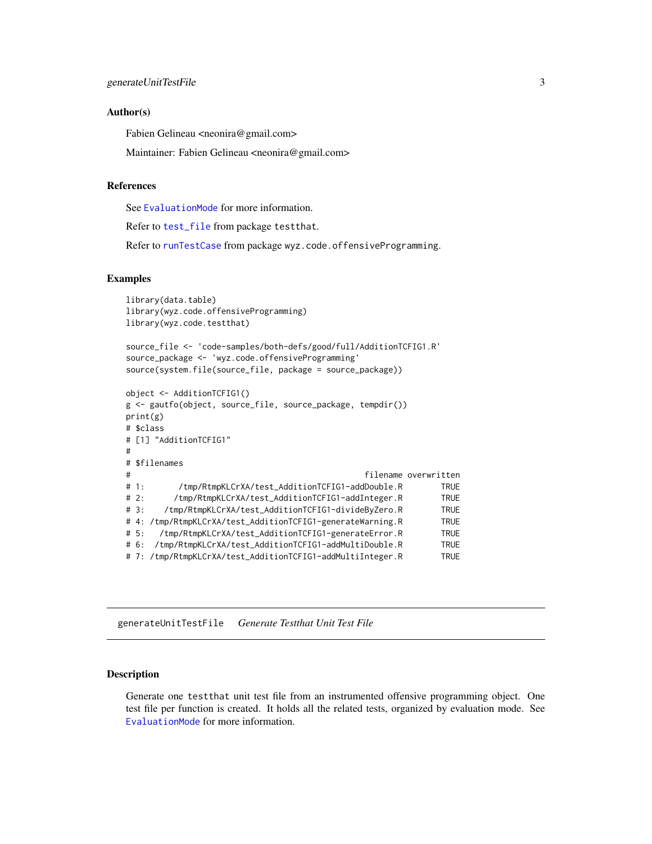#### <span id="page-2-0"></span>Author(s)

Fabien Gelineau <neonira@gmail.com>

Maintainer: Fabien Gelineau <neonira@gmail.com>

#### References

See [EvaluationMode](#page-0-0) for more information.

Refer to [test\\_file](#page-0-0) from package testthat.

Refer to [runTestCase](#page-0-0) from package wyz.code.offensiveProgramming.

#### Examples

```
library(data.table)
library(wyz.code.offensiveProgramming)
library(wyz.code.testthat)
source_file <- 'code-samples/both-defs/good/full/AdditionTCFIG1.R'
source_package <- 'wyz.code.offensiveProgramming'
source(system.file(source_file, package = source_package))
object <- AdditionTCFIG1()
g <- gautfo(object, source_file, source_package, tempdir())
print(g)
# $class
# [1] "AdditionTCFIG1"
#
# $filenames
# filename overwritten
# 1: /tmp/RtmpKLCrXA/test_AdditionTCFIG1-addDouble.R TRUE
# 2: /tmp/RtmpKLCrXA/test_AdditionTCFIG1-addInteger.R TRUE
# 3: /tmp/RtmpKLCrXA/test_AdditionTCFIG1-divideByZero.R TRUE
# 4: /tmp/RtmpKLCrXA/test_AdditionTCFIG1-generateWarning.R TRUE
# 5: /tmp/RtmpKLCrXA/test_AdditionTCFIG1-generateError.R TRUE
# 6: /tmp/RtmpKLCrXA/test_AdditionTCFIG1-addMultiDouble.R TRUE
# 7: /tmp/RtmpKLCrXA/test_AdditionTCFIG1-addMultiInteger.R TRUE
```
generateUnitTestFile *Generate Testthat Unit Test File*

#### Description

Generate one testthat unit test file from an instrumented offensive programming object. One test file per function is created. It holds all the related tests, organized by evaluation mode. See [EvaluationMode](#page-0-0) for more information.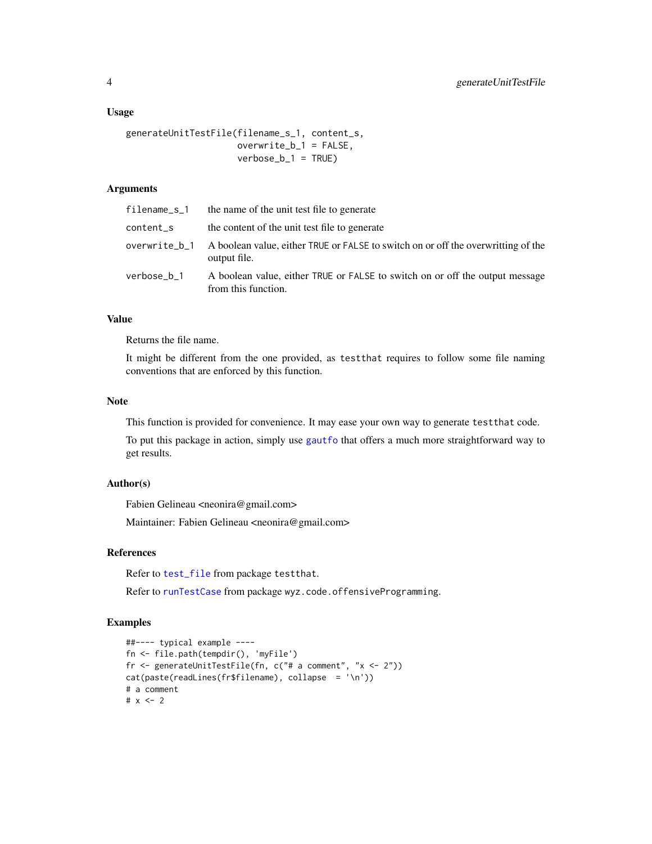#### <span id="page-3-0"></span>Usage

```
generateUnitTestFile(filename_s_1, content_s,
                    overwrite_b_1 = FALSE,verbose_b_1 = TRUE
```
#### Arguments

| filename_s_1 | the name of the unit test file to generate                                                                      |
|--------------|-----------------------------------------------------------------------------------------------------------------|
| content_s    | the content of the unit test file to generate                                                                   |
|              | overwrite_b_1 A boolean value, either TRUE or FALSE to switch on or off the overwritting of the<br>output file. |
| verbose_b_1  | A boolean value, either TRUE or FALSE to switch on or off the output message<br>from this function.             |

#### Value

Returns the file name.

It might be different from the one provided, as testthat requires to follow some file naming conventions that are enforced by this function.

#### Note

This function is provided for convenience. It may ease your own way to generate testthat code.

To put this package in action, simply use [gautfo](#page-1-1) that offers a much more straightforward way to get results.

#### Author(s)

Fabien Gelineau <neonira@gmail.com>

Maintainer: Fabien Gelineau <neonira@gmail.com>

#### References

Refer to [test\\_file](#page-0-0) from package testthat.

Refer to [runTestCase](#page-0-0) from package wyz.code.offensiveProgramming.

#### Examples

```
##---- typical example ----
fn <- file.path(tempdir(), 'myFile')
fr <- generateUnitTestFile(fn, c("# a comment", "x <- 2"))
cat(paste(readLines(fr$filename), collapse = '\n'))
# a comment
# x < -2
```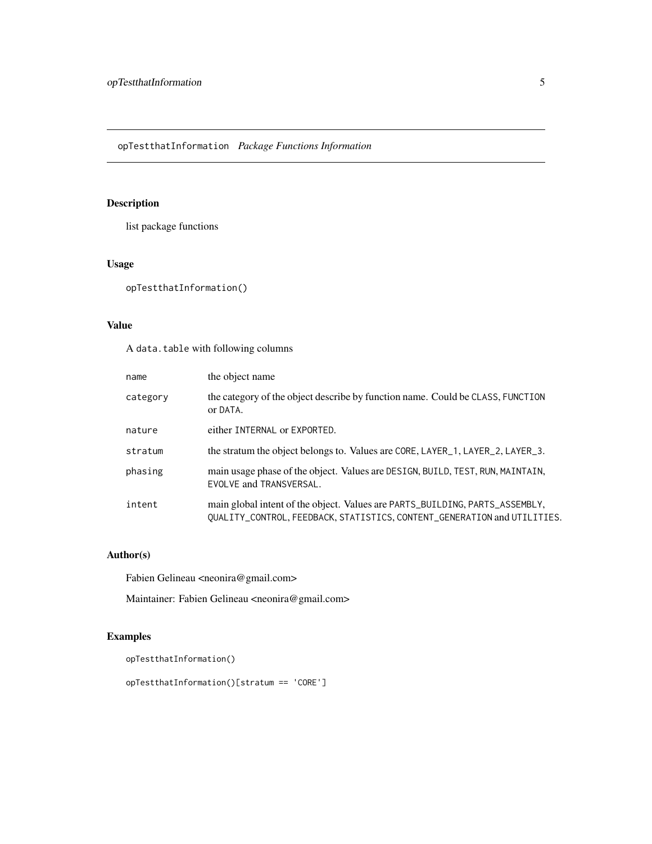#### <span id="page-4-0"></span>Description

list package functions

#### Usage

```
opTestthatInformation()
```
#### Value

A data.table with following columns

| name     | the object name                                                                                                                                          |
|----------|----------------------------------------------------------------------------------------------------------------------------------------------------------|
| category | the category of the object describe by function name. Could be CLASS, FUNCTION<br>or DATA.                                                               |
| nature   | either INTERNAL or EXPORTED.                                                                                                                             |
| stratum  | the stratum the object belongs to. Values are CORE, LAYER_1, LAYER_2, LAYER_3.                                                                           |
| phasing  | main usage phase of the object. Values are DESIGN, BUILD, TEST, RUN, MAINTAIN,<br>EVOLVE and TRANSVERSAL.                                                |
| intent   | main global intent of the object. Values are PARTS_BUILDING, PARTS_ASSEMBLY,<br>QUALITY_CONTROL, FEEDBACK, STATISTICS, CONTENT_GENERATION and UTILITIES. |

#### Author(s)

Fabien Gelineau <neonira@gmail.com>

Maintainer: Fabien Gelineau <neonira@gmail.com>

#### Examples

```
opTestthatInformation()
```
opTestthatInformation()[stratum == 'CORE']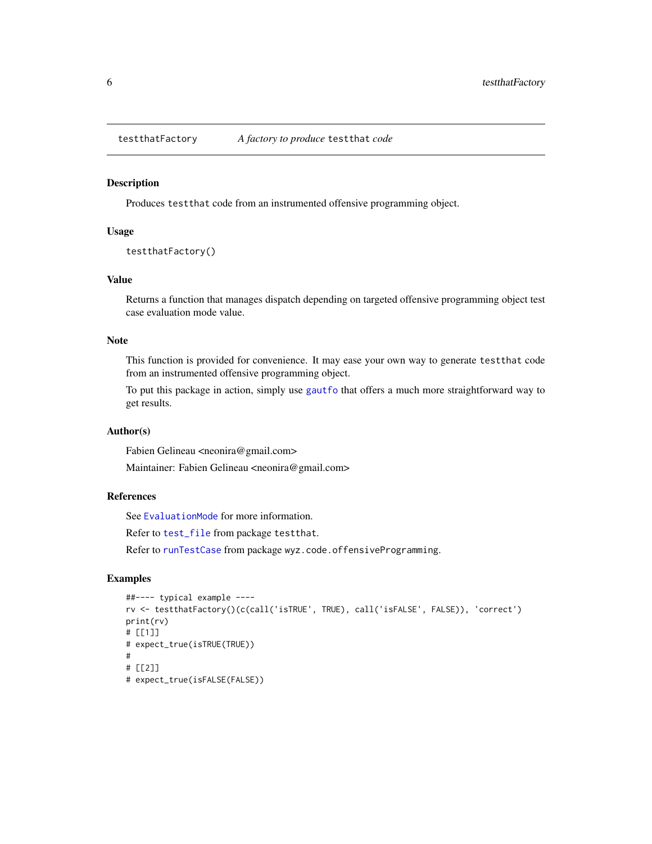<span id="page-5-0"></span>

#### Description

Produces testthat code from an instrumented offensive programming object.

#### Usage

testthatFactory()

#### Value

Returns a function that manages dispatch depending on targeted offensive programming object test case evaluation mode value.

#### Note

This function is provided for convenience. It may ease your own way to generate testthat code from an instrumented offensive programming object.

To put this package in action, simply use [gautfo](#page-1-1) that offers a much more straightforward way to get results.

#### Author(s)

Fabien Gelineau <neonira@gmail.com>

Maintainer: Fabien Gelineau <neonira@gmail.com>

#### References

See [EvaluationMode](#page-0-0) for more information.

Refer to [test\\_file](#page-0-0) from package testthat.

Refer to [runTestCase](#page-0-0) from package wyz.code.offensiveProgramming.

#### Examples

```
##---- typical example ----
rv <- testthatFactory()(c(call('isTRUE', TRUE), call('isFALSE', FALSE)), 'correct')
print(rv)
# [[1]]
# expect_true(isTRUE(TRUE))
#
# [[2]]
# expect_true(isFALSE(FALSE))
```